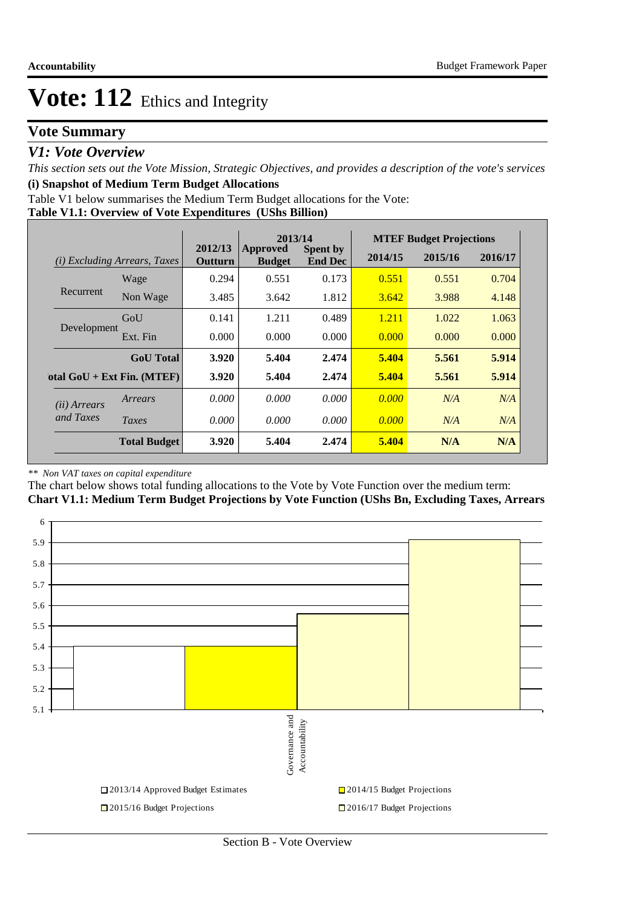## **Vote Summary**

### *V1: Vote Overview*

*This section sets out the Vote Mission, Strategic Objectives, and provides a description of the vote's services* **(i) Snapshot of Medium Term Budget Allocations** 

Table V1 below summarises the Medium Term Budget allocations for the Vote:

#### **Table V1.1: Overview of Vote Expenditures (UShs Billion)**

|                       |                                 |                    | 2013/14                   |                                   |         | <b>MTEF Budget Projections</b> |         |
|-----------------------|---------------------------------|--------------------|---------------------------|-----------------------------------|---------|--------------------------------|---------|
| (i)                   | <i>Excluding Arrears, Taxes</i> | 2012/13<br>Outturn | Approved<br><b>Budget</b> | <b>Spent by</b><br><b>End Dec</b> | 2014/15 | 2015/16                        | 2016/17 |
|                       | Wage                            | 0.294              | 0.551                     | 0.173                             | 0.551   | 0.551                          | 0.704   |
| Recurrent             | Non Wage                        | 3.485              | 3.642                     | 1.812                             | 3.642   | 3.988                          | 4.148   |
|                       | GoU                             | 0.141              | 1.211                     | 0.489                             | 1.211   | 1.022                          | 1.063   |
| Development           | Ext. Fin                        | 0.000              | 0.000                     | 0.000                             | 0.000   | 0.000                          | 0.000   |
|                       | <b>GoU</b> Total                | 3.920              | 5.404                     | 2.474                             | 5.404   | 5.561                          | 5.914   |
|                       | otal $GoU + Ext Fin. (MTEF)$    | 3.920              | 5.404                     | 2.474                             | 5.404   | 5.561                          | 5.914   |
| ( <i>ii</i> ) Arrears | Arrears                         | 0.000              | 0.000                     | 0.000                             | 0.000   | N/A                            | N/A     |
| and Taxes             | Taxes                           | 0.000              | 0.000                     | 0.000                             | 0.000   | N/A                            | N/A     |
|                       | <b>Total Budget</b>             | 3.920              | 5.404                     | 2.474                             | 5.404   | N/A                            | N/A     |

#### *\*\* Non VAT taxes on capital expenditure*

The chart below shows total funding allocations to the Vote by Vote Function over the medium term:

**Chart V1.1: Medium Term Budget Projections by Vote Function (UShs Bn, Excluding Taxes, Arrears**

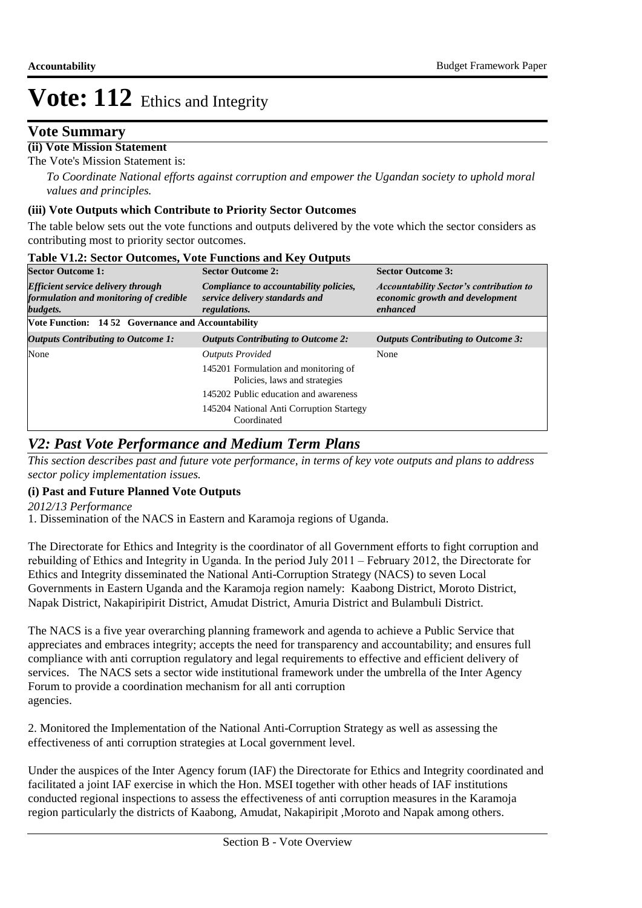### **Vote Summary**

### **(ii) Vote Mission Statement**

The Vote's Mission Statement is:

*To Coordinate National efforts against corruption and empower the Ugandan society to uphold moral values and principles.*

#### **(iii) Vote Outputs which Contribute to Priority Sector Outcomes**

The table below sets out the vote functions and outputs delivered by the vote which the sector considers as contributing most to priority sector outcomes.

| <b>Sector Outcome 1:</b>                                                                        | <b>Sector Outcome 2:</b>                                                                 | <b>Sector Outcome 3:</b>                                                                      |
|-------------------------------------------------------------------------------------------------|------------------------------------------------------------------------------------------|-----------------------------------------------------------------------------------------------|
| <b>Efficient service delivery through</b><br>formulation and monitoring of credible<br>budgets. | Compliance to accountability policies,<br>service delivery standards and<br>regulations. | <b>Accountability Sector's contribution to</b><br>economic growth and development<br>enhanced |
| Vote Function: 1452 Governance and Accountability                                               |                                                                                          |                                                                                               |
| <b>Outputs Contributing to Outcome 1:</b>                                                       | <b>Outputs Contributing to Outcome 2:</b>                                                | <b>Outputs Contributing to Outcome 3:</b>                                                     |
| None                                                                                            | <b>Outputs Provided</b>                                                                  | None                                                                                          |
|                                                                                                 | 145201 Formulation and monitoring of<br>Policies, laws and strategies                    |                                                                                               |
|                                                                                                 | 145202 Public education and awareness                                                    |                                                                                               |
|                                                                                                 | 145204 National Anti Corruption Startegy<br>Coordinated                                  |                                                                                               |

#### **Table V1.2: Sector Outcomes, Vote Functions and Key Outputs**

### *V2: Past Vote Performance and Medium Term Plans*

*This section describes past and future vote performance, in terms of key vote outputs and plans to address sector policy implementation issues.* 

#### **(i) Past and Future Planned Vote Outputs**

*2012/13 Performance*

1. Dissemination of the NACS in Eastern and Karamoja regions of Uganda.

The Directorate for Ethics and Integrity is the coordinator of all Government efforts to fight corruption and rebuilding of Ethics and Integrity in Uganda. In the period July 2011 – February 2012, the Directorate for Ethics and Integrity disseminated the National Anti-Corruption Strategy (NACS) to seven Local Governments in Eastern Uganda and the Karamoja region namely: Kaabong District, Moroto District, Napak District, Nakapiripirit District, Amudat District, Amuria District and Bulambuli District.

The NACS is a five year overarching planning framework and agenda to achieve a Public Service that appreciates and embraces integrity; accepts the need for transparency and accountability; and ensures full compliance with anti corruption regulatory and legal requirements to effective and efficient delivery of services. The NACS sets a sector wide institutional framework under the umbrella of the Inter Agency Forum to provide a coordination mechanism for all anti corruption agencies.

2. Monitored the Implementation of the National Anti-Corruption Strategy as well as assessing the effectiveness of anti corruption strategies at Local government level.

Under the auspices of the Inter Agency forum (IAF) the Directorate for Ethics and Integrity coordinated and facilitated a joint IAF exercise in which the Hon. MSEI together with other heads of IAF institutions conducted regional inspections to assess the effectiveness of anti corruption measures in the Karamoja region particularly the districts of Kaabong, Amudat, Nakapiripit ,Moroto and Napak among others.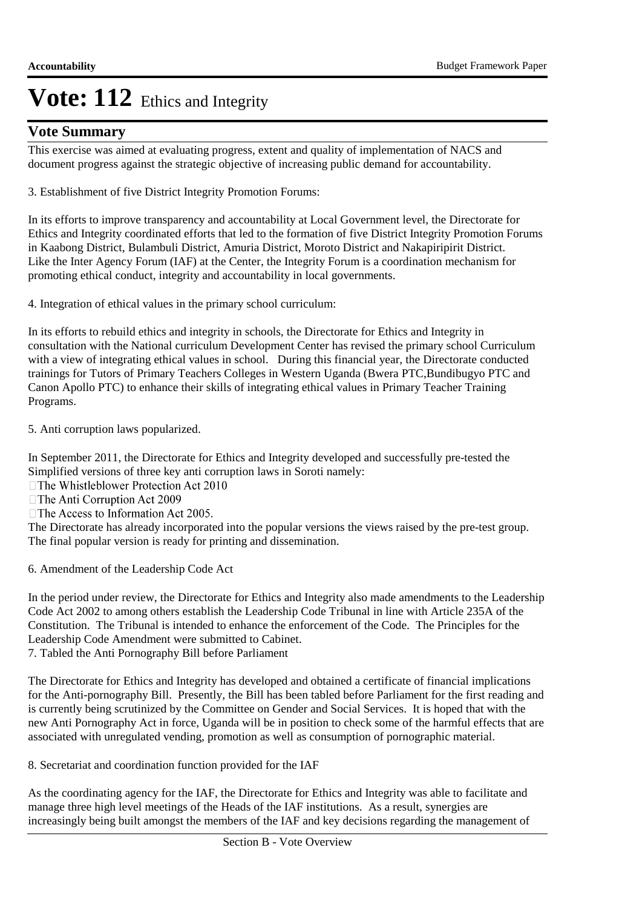## **Vote Summary**

This exercise was aimed at evaluating progress, extent and quality of implementation of NACS and document progress against the strategic objective of increasing public demand for accountability.

3. Establishment of five District Integrity Promotion Forums:

In its efforts to improve transparency and accountability at Local Government level, the Directorate for Ethics and Integrity coordinated efforts that led to the formation of five District Integrity Promotion Forums in Kaabong District, Bulambuli District, Amuria District, Moroto District and Nakapiripirit District. Like the Inter Agency Forum (IAF) at the Center, the Integrity Forum is a coordination mechanism for promoting ethical conduct, integrity and accountability in local governments.

4. Integration of ethical values in the primary school curriculum:

In its efforts to rebuild ethics and integrity in schools, the Directorate for Ethics and Integrity in consultation with the National curriculum Development Center has revised the primary school Curriculum with a view of integrating ethical values in school. During this financial year, the Directorate conducted trainings for Tutors of Primary Teachers Colleges in Western Uganda (Bwera PTC,Bundibugyo PTC and Canon Apollo PTC) to enhance their skills of integrating ethical values in Primary Teacher Training Programs.

5. Anti corruption laws popularized.

In September 2011, the Directorate for Ethics and Integrity developed and successfully pre-tested the Simplified versions of three key anti corruption laws in Soroti namely:

□ The Whistleblower Protection Act 2010

□ The Anti Corruption Act 2009

 $\Box$  The Access to Information Act 2005.

The Directorate has already incorporated into the popular versions the views raised by the pre-test group. The final popular version is ready for printing and dissemination.

6. Amendment of the Leadership Code Act

In the period under review, the Directorate for Ethics and Integrity also made amendments to the Leadership Code Act 2002 to among others establish the Leadership Code Tribunal in line with Article 235A of the Constitution. The Tribunal is intended to enhance the enforcement of the Code. The Principles for the Leadership Code Amendment were submitted to Cabinet.

7. Tabled the Anti Pornography Bill before Parliament

The Directorate for Ethics and Integrity has developed and obtained a certificate of financial implications for the Anti-pornography Bill. Presently, the Bill has been tabled before Parliament for the first reading and is currently being scrutinized by the Committee on Gender and Social Services. It is hoped that with the new Anti Pornography Act in force, Uganda will be in position to check some of the harmful effects that are associated with unregulated vending, promotion as well as consumption of pornographic material.

8. Secretariat and coordination function provided for the IAF

As the coordinating agency for the IAF, the Directorate for Ethics and Integrity was able to facilitate and manage three high level meetings of the Heads of the IAF institutions. As a result, synergies are increasingly being built amongst the members of the IAF and key decisions regarding the management of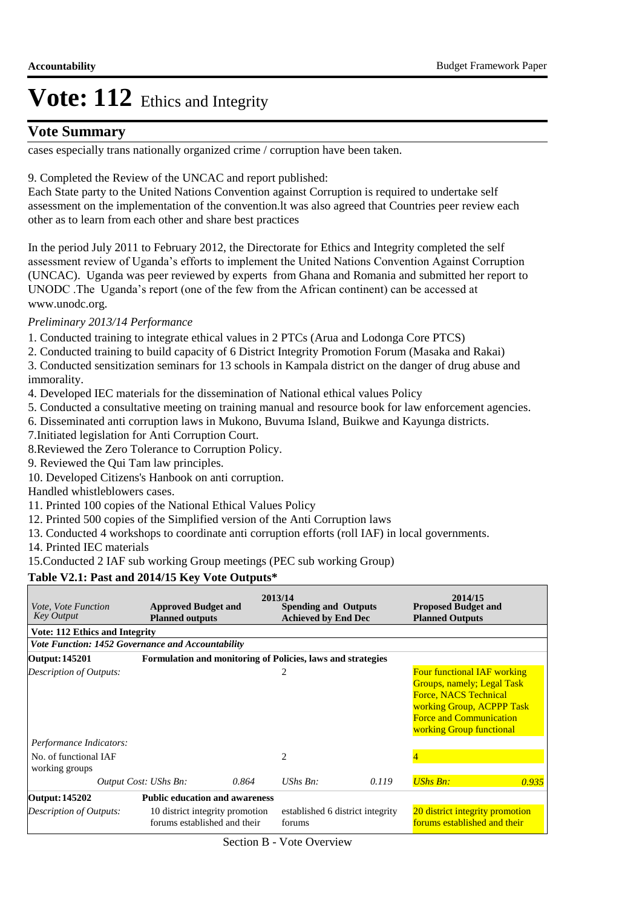### **Vote Summary**

cases especially trans nationally organized crime / corruption have been taken.

#### 9. Completed the Review of the UNCAC and report published:

Each State party to the United Nations Convention against Corruption is required to undertake self assessment on the implementation of the convention.lt was also agreed that Countries peer review each other as to learn from each other and share best practices

In the period July 2011 to February 2012, the Directorate for Ethics and Integrity completed the self assessment review of Uganda's efforts to implement the United Nations Convention Against Corruption (UNCAC). Uganda was peer reviewed by experts from Ghana and Romania and submitted her report to UNODC .The Uganda's report (one of the few from the African continent) can be accessed at www.unodc.org.

#### *Preliminary 2013/14 Performance*

- 1. Conducted training to integrate ethical values in 2 PTCs (Arua and Lodonga Core PTCS)
- 2. Conducted training to build capacity of 6 District Integrity Promotion Forum (Masaka and Rakai)

3. Conducted sensitization seminars for 13 schools in Kampala district on the danger of drug abuse and immorality.

- 4. Developed IEC materials for the dissemination of National ethical values Policy
- 5. Conducted a consultative meeting on training manual and resource book for law enforcement agencies.
- 6. Disseminated anti corruption laws in Mukono, Buvuma Island, Buikwe and Kayunga districts.
- 7.Initiated legislation for Anti Corruption Court.
- 8.Reviewed the Zero Tolerance to Corruption Policy.
- 9. Reviewed the Qui Tam law principles.
- 10. Developed Citizens's Hanbook on anti corruption.
- Handled whistleblowers cases.
- 11. Printed 100 copies of the National Ethical Values Policy
- 12. Printed 500 copies of the Simplified version of the Anti Corruption laws
- 13. Conducted 4 workshops to coordinate anti corruption efforts (roll IAF) in local governments.

14. Printed IEC materials

15.Conducted 2 IAF sub working Group meetings (PEC sub working Group)

#### **Table V2.1: Past and 2014/15 Key Vote Outputs\***

| <i>Vote, Vote Function</i><br><b>Key Output</b>   | <b>Approved Budget and</b><br><b>Planned outputs</b>            |       | 2013/14<br><b>Spending and Outputs</b><br><b>Achieved by End Dec</b> |       | 2014/15<br><b>Proposed Budget and</b><br><b>Planned Outputs</b>                                                                                                                                    |       |
|---------------------------------------------------|-----------------------------------------------------------------|-------|----------------------------------------------------------------------|-------|----------------------------------------------------------------------------------------------------------------------------------------------------------------------------------------------------|-------|
| <b>Vote: 112 Ethics and Integrity</b>             |                                                                 |       |                                                                      |       |                                                                                                                                                                                                    |       |
| Vote Function: 1452 Governance and Accountability |                                                                 |       |                                                                      |       |                                                                                                                                                                                                    |       |
| Output: 145201                                    |                                                                 |       | Formulation and monitoring of Policies, laws and strategies          |       |                                                                                                                                                                                                    |       |
| Description of Outputs:                           |                                                                 |       | 2                                                                    |       | <b>Four functional IAF working</b><br><b>Groups, namely; Legal Task</b><br><b>Force, NACS Technical</b><br>working Group, ACPPP Task<br><b>Force and Communication</b><br>working Group functional |       |
| Performance Indicators:                           |                                                                 |       |                                                                      |       |                                                                                                                                                                                                    |       |
| No. of functional IAF<br>working groups           |                                                                 |       | $\overline{c}$                                                       |       |                                                                                                                                                                                                    |       |
|                                                   | Output Cost: UShs Bn:                                           | 0.864 | $UShs Bn$ :                                                          | 0.119 | <b>UShs Bn:</b>                                                                                                                                                                                    | 0.935 |
| Output: 145202                                    | <b>Public education and awareness</b>                           |       |                                                                      |       |                                                                                                                                                                                                    |       |
| Description of Outputs:                           | 10 district integrity promotion<br>forums established and their |       | established 6 district integrity<br>forums                           |       | 20 district integrity promotion<br>forums established and their                                                                                                                                    |       |

Section B - Vote Overview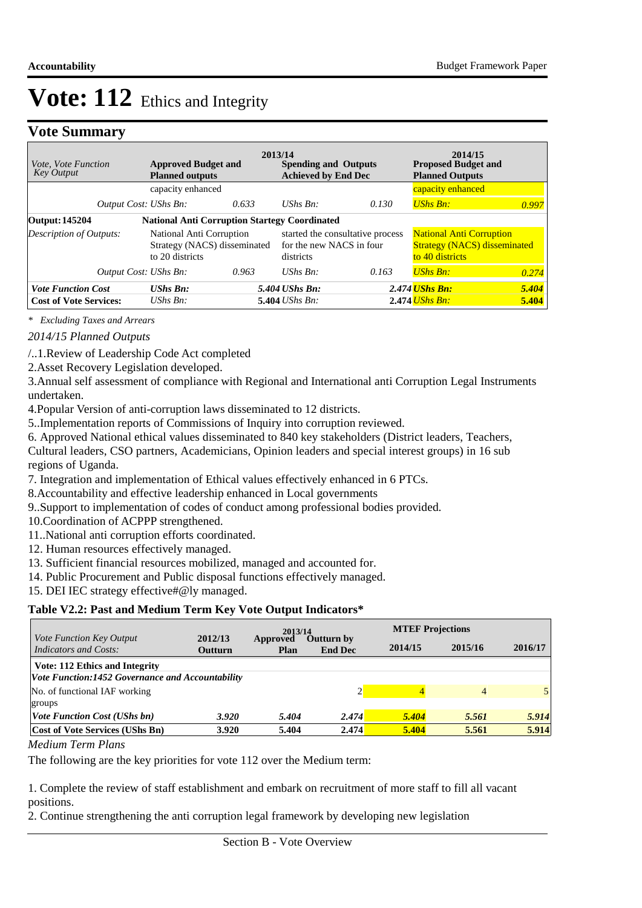### **Vote Summary**

| <i>Vote, Vote Function</i><br><b>Key Output</b> | <b>Approved Budget and</b><br><b>Planned outputs</b>                        |       | 2013/14<br><b>Spending and Outputs</b><br><b>Achieved by End Dec</b> |                                  | 2014/15<br><b>Proposed Budget and</b><br><b>Planned Outputs</b>                           |       |
|-------------------------------------------------|-----------------------------------------------------------------------------|-------|----------------------------------------------------------------------|----------------------------------|-------------------------------------------------------------------------------------------|-------|
|                                                 | capacity enhanced                                                           |       |                                                                      |                                  | capacity enhanced                                                                         |       |
| Output Cost: UShs Bn:                           |                                                                             | 0.633 | UShs $Bn$ :                                                          | 0.130                            | <b>UShs Bn:</b>                                                                           | 0.997 |
| Output: 145204                                  | <b>National Anti Corruption Startegy Coordinated</b>                        |       |                                                                      |                                  |                                                                                           |       |
| Description of Outputs:                         | National Anti Corruption<br>Strategy (NACS) disseminated<br>to 20 districts |       | for the new NACS in four<br>districts                                | started the consultative process | <b>National Anti Corruption</b><br><b>Strategy (NACS) disseminated</b><br>to 40 districts |       |
| Output Cost: UShs Bn:                           |                                                                             | 0.963 | UShs $Bn$ :                                                          | 0.163                            | <b>UShs Bn:</b>                                                                           | 0.274 |
| <b>Vote Function Cost</b>                       | $UShs$ $Bn$ :                                                               |       | 5.404 UShs Bn:                                                       |                                  | 2.474 <i>UShs Bn:</i>                                                                     | 5.404 |
| <b>Cost of Vote Services:</b>                   | UShs $Bn$ :                                                                 |       | $5.404$ UShs Bn:                                                     |                                  | $2.474$ UShs Bn:                                                                          | 5.404 |

*\* Excluding Taxes and Arrears*

*2014/15 Planned Outputs*

/..1. Review of Leadership Code Act completed

2. Asset Recovery Legislation developed.

3. Annual self assessment of compliance with Regional and International anti Corruption Legal Instruments undertaken.

4. Popular Version of anti-corruption laws disseminated to 12 districts.

5.. Implementation reports of Commissions of Inquiry into corruption reviewed.

6. Approved National ethical values disseminated to 840 key stakeholders (District leaders, Teachers,

Cultural leaders, CSO partners, Academicians, Opinion leaders and special interest groups) in 16 sub regions of Uganda.

7. Integration and implementation of Ethical values effectively enhanced in 6 PTCs.

8. Accountability and effective leadership enhanced in Local governments

9. Support to implementation of codes of conduct among professional bodies provided.

10. Coordination of ACPPP strengthened.

11.. National anti corruption efforts coordinated.

12. Human resources effectively managed.

13. Sufficient financial resources mobilized, managed and accounted for.

14. Public Procurement and Public disposal functions effectively managed.

15. DEI IEC strategy effective#@ly managed.

#### **Table V2.2: Past and Medium Term Key Vote Output Indicators\***

| <i>Vote Function Key Output</i>                  | 2012/13        | 2013/14          |                              |         | <b>MTEF Projections</b> |         |  |
|--------------------------------------------------|----------------|------------------|------------------------------|---------|-------------------------|---------|--|
| <b>Indicators and Costs:</b>                     | <b>Outturn</b> | Approved<br>Plan | Outturn by<br><b>End Dec</b> | 2014/15 | 2015/16                 | 2016/17 |  |
| <b>Vote: 112 Ethics and Integrity</b>            |                |                  |                              |         |                         |         |  |
| Vote Function:1452 Governance and Accountability |                |                  |                              |         |                         |         |  |
| No. of functional IAF working                    |                |                  | ◠                            |         | $\overline{4}$          |         |  |
| groups                                           |                |                  |                              |         |                         |         |  |
| <i><b>Vote Function Cost (UShs bn)</b></i>       | 3.920          | 5.404            | 2.474                        | 5.404   | 5.561                   | 5.914   |  |
| <b>Cost of Vote Services (UShs Bn)</b>           | 3.920          | 5.404            | 2.474                        | 5.404   | 5.561                   | 5.914   |  |

#### *Medium Term Plans*

The following are the key priorities for vote 112 over the Medium term:

 1. Complete the review of staff establishment and embark on recruitment of more staff to fill all vacant positions.

2. Continue strengthening the anti corruption legal framework by developing new legislation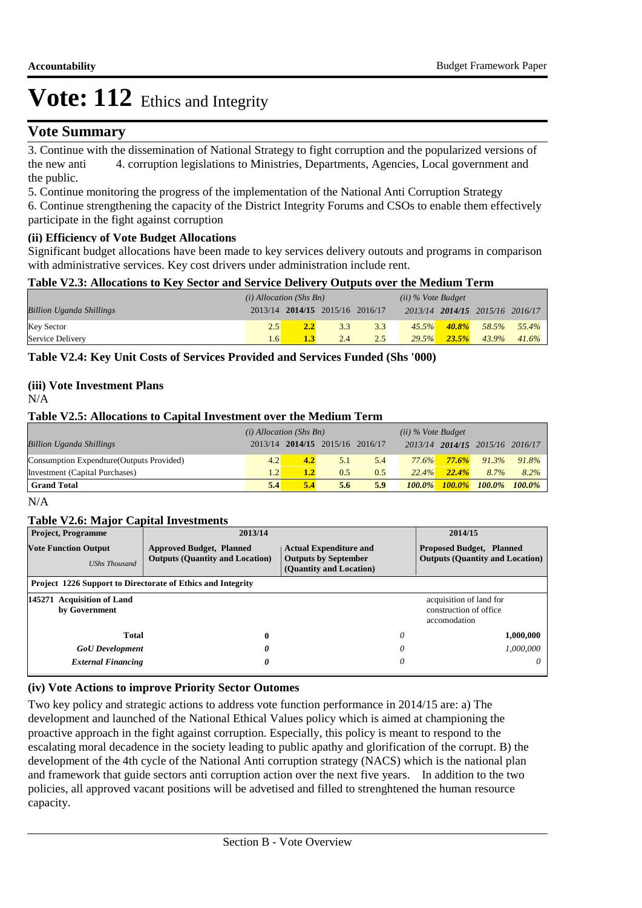### **Vote Summary**

3. Continue with the dissemination of National Strategy to fight corruption and the popularized versions of the new anti 4. corruption legislations to Ministries, Departments, Agencies, Local government and the public.

 5. Continue monitoring the progress of the implementation of the National Anti Corruption Strategy

6. Continue strengthening the capacity of the District Integrity Forums and CSOs to enable them effectively participate in the fight against corruption

#### **(ii) Efficiency of Vote Budget Allocations**

Significant budget allocations have been made to key services delivery outouts and programs in comparison with administrative services. Key cost drivers under administration include rent.

#### **Table V2.3: Allocations to Key Sector and Service Delivery Outputs over the Medium Term**

|                                 | $(i)$ Allocation (Shs Bn) |  |                                 | $(ii)$ % Vote Budget |       |           |                                 |             |
|---------------------------------|---------------------------|--|---------------------------------|----------------------|-------|-----------|---------------------------------|-------------|
| <b>Billion Uganda Shillings</b> |                           |  | 2013/14 2014/15 2015/16 2016/17 |                      |       |           | 2013/14 2014/15 2015/16 2016/17 |             |
| <b>Key Sector</b>               | 2.5                       |  | 3.3                             | 3.3                  | 45.5% | $-40.8\%$ |                                 | 58.5% 55.4% |
| Service Delivery                | 1.6                       |  | 2.4                             | 2.5                  | 29.5% | 23.5%     | $43.9\%$                        | 41.6%       |

**Table V2.4: Key Unit Costs of Services Provided and Services Funded (Shs '000)**

#### **(iii) Vote Investment Plans**

N/A

#### **Table V2.5: Allocations to Capital Investment over the Medium Term**

|                                           | $(i)$ Allocation (Shs Bn) |                  |                                 | $(ii)$ % Vote Budget |               |                                 |                     |           |
|-------------------------------------------|---------------------------|------------------|---------------------------------|----------------------|---------------|---------------------------------|---------------------|-----------|
| <b>Billion Uganda Shillings</b>           |                           |                  | 2013/14 2014/15 2015/16 2016/17 |                      |               | 2013/14 2014/15 2015/16 2016/17 |                     |           |
| Consumption Expendture (Outputs Provided) | 4.2                       | 4.2              | 5.1                             | 5.4                  | 77.6%         | 77.6%                           | $91.3\%$            | 91.8%     |
| <b>Investment</b> (Capital Purchases)     | 1.2                       | 1.2 <sub>1</sub> | 0.5                             | 0.5                  | 22.4%         | 22.4%                           | 8.7%                | $8.2\%$   |
| <b>Grand Total</b>                        | 5.4                       | 5.4              | 5.6                             | 5.9                  | <b>100.0%</b> |                                 | $100.0\%$ $100.0\%$ | $100.0\%$ |

 $N/A$ 

#### **Table V2.6: Major Capital Investments**

| <b>Project, Programme</b>                                   | 2013/14                                                                   |                                                                                         | 2014/15                                                                   |
|-------------------------------------------------------------|---------------------------------------------------------------------------|-----------------------------------------------------------------------------------------|---------------------------------------------------------------------------|
| <b>Vote Function Output</b><br><b>UShs Thousand</b>         | <b>Approved Budget, Planned</b><br><b>Outputs (Quantity and Location)</b> | <b>Actual Expenditure and</b><br><b>Outputs by September</b><br>(Quantity and Location) | <b>Proposed Budget, Planned</b><br><b>Outputs (Quantity and Location)</b> |
| Project 1226 Support to Directorate of Ethics and Integrity |                                                                           |                                                                                         |                                                                           |
| 145271 Acquisition of Land<br>by Government                 |                                                                           |                                                                                         | acquisition of land for<br>construction of office<br>accomodation         |
| <b>Total</b>                                                | $\bf{0}$                                                                  | 0                                                                                       | 1,000,000                                                                 |
| <b>GoU</b> Development                                      | 0                                                                         | 0                                                                                       | 1.000.000                                                                 |
| <b>External Financing</b>                                   | 0                                                                         | 0                                                                                       | $\theta$                                                                  |

#### **(iv) Vote Actions to improve Priority Sector Outomes**

Two key policy and strategic actions to address vote function performance in 2014/15 are: a) The development and launched of the National Ethical Values policy which is aimed at championing the proactive approach in the fight against corruption. Especially, this policy is meant to respond to the escalating moral decadence in the society leading to public apathy and glorification of the corrupt. B) the development of the 4th cycle of the National Anti corruption strategy (NACS) which is the national plan and framework that guide sectors anti corruption action over the next five years. In addition to the two policies, all approved vacant positions will be advetised and filled to strenghtened the human resource capacity.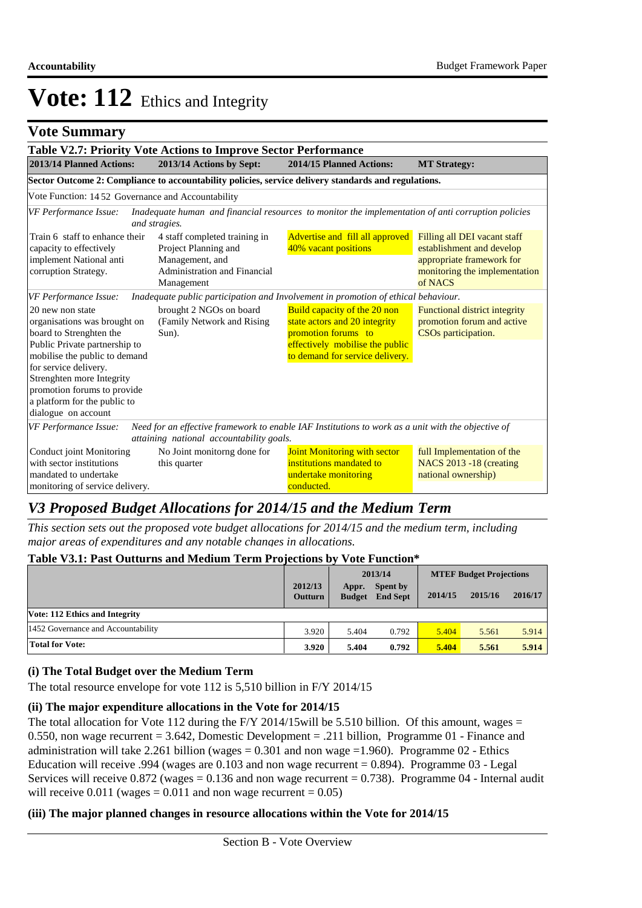## **Vote Summary**

|                                                                                                                                                                                                                                                                                           | Table V2.7: Priority Vote Actions to Improve Sector Performance                                                        |                                                                                                                                                                   |                                                                                                                                    |  |  |  |  |  |
|-------------------------------------------------------------------------------------------------------------------------------------------------------------------------------------------------------------------------------------------------------------------------------------------|------------------------------------------------------------------------------------------------------------------------|-------------------------------------------------------------------------------------------------------------------------------------------------------------------|------------------------------------------------------------------------------------------------------------------------------------|--|--|--|--|--|
| 2013/14 Planned Actions:                                                                                                                                                                                                                                                                  | 2013/14 Actions by Sept:                                                                                               | 2014/15 Planned Actions:                                                                                                                                          |                                                                                                                                    |  |  |  |  |  |
|                                                                                                                                                                                                                                                                                           | Sector Outcome 2: Compliance to accountability policies, service delivery standards and regulations.                   |                                                                                                                                                                   |                                                                                                                                    |  |  |  |  |  |
| Vote Function: 1452 Governance and Accountability                                                                                                                                                                                                                                         |                                                                                                                        |                                                                                                                                                                   |                                                                                                                                    |  |  |  |  |  |
| VF Performance Issue:                                                                                                                                                                                                                                                                     | and stragies.                                                                                                          | Inadequate human and financial resources to monitor the implementation of anti corruption policies                                                                |                                                                                                                                    |  |  |  |  |  |
| Train 6 staff to enhance their<br>capacity to effectively<br>implement National anti<br>corruption Strategy.                                                                                                                                                                              | 4 staff completed training in<br>Project Planning and<br>Management, and<br>Administration and Financial<br>Management | Advertise and fill all approved<br>40% vacant positions                                                                                                           | Filling all DEI vacant staff<br>establishment and develop<br>appropriate framework for<br>monitoring the implementation<br>of NACS |  |  |  |  |  |
| VF Performance Issue:                                                                                                                                                                                                                                                                     |                                                                                                                        | Inadequate public participation and Involvement in promotion of ethical behaviour.                                                                                |                                                                                                                                    |  |  |  |  |  |
| 20 new non state<br>organisations was brought on<br>board to Strenghten the<br>Public Private partnership to<br>mobilise the public to demand<br>for service delivery.<br>Strenghten more Integrity<br>promotion forums to provide<br>a platform for the public to<br>dialogue on account | brought 2 NGOs on board<br>(Family Network and Rising)<br>$Sun)$ .                                                     | <b>Build capacity of the 20 non</b><br>state actors and 20 integrity<br>promotion forums to<br>effectively mobilise the public<br>to demand for service delivery. | <b>Functional district integrity</b><br>promotion forum and active<br>CSOs participation.                                          |  |  |  |  |  |
| <b>VF Performance Issue:</b>                                                                                                                                                                                                                                                              | attaining national accountability goals.                                                                               | Need for an effective framework to enable IAF Institutions to work as a unit with the objective of                                                                |                                                                                                                                    |  |  |  |  |  |
| Conduct joint Monitoring<br>with sector institutions<br>mandated to undertake<br>monitoring of service delivery.                                                                                                                                                                          | No Joint monitorng done for<br>this quarter                                                                            | Joint Monitoring with sector<br>institutions mandated to<br>undertake monitoring<br>conducted.                                                                    | full Implementation of the<br><b>NACS 2013 -18 (creating</b><br>national ownership)                                                |  |  |  |  |  |

# *V3 Proposed Budget Allocations for 2014/15 and the Medium Term*

*This section sets out the proposed vote budget allocations for 2014/15 and the medium term, including major areas of expenditures and any notable changes in allocations.* 

#### **Table V3.1: Past Outturns and Medium Term Projections by Vote Function\***

|                                       |                           |                        | 2013/14                            |         | <b>MTEF Budget Projections</b> |         |  |
|---------------------------------------|---------------------------|------------------------|------------------------------------|---------|--------------------------------|---------|--|
|                                       | 2012/13<br><b>Outturn</b> | Appr.<br><b>Budget</b> | <b>Spent by</b><br><b>End Sept</b> | 2014/15 | 2015/16                        | 2016/17 |  |
| <b>Vote: 112 Ethics and Integrity</b> |                           |                        |                                    |         |                                |         |  |
| 1452 Governance and Accountability    | 3.920                     | 5.404                  | 0.792                              | 5.404   | 5.561                          | 5.914   |  |
| <b>Total for Vote:</b>                | 3.920                     | 5.404                  | 0.792                              | 5.404   | 5.561                          | 5.914   |  |

#### **(i) The Total Budget over the Medium Term**

The total resource envelope for vote 112 is 5,510 billion in F/Y 2014/15

#### **(ii) The major expenditure allocations in the Vote for 2014/15**

The total allocation for Vote 112 during the F/Y 2014/15 will be 5.510 billion. Of this amount, wages  $=$ 0.550, non wage recurrent = 3.642, Domestic Development = .211 billion, Programme 01 - Finance and administration will take 2.261 billion (wages  $= 0.301$  and non wage  $= 1.960$ ). Programme 02 - Ethics Education will receive .994 (wages are  $0.103$  and non wage recurrent = 0.894). Programme  $03$  - Legal Services will receive  $0.872$  (wages = 0.136 and non wage recurrent = 0.738). Programme 04 - Internal audit will receive  $0.011$  (wages = 0.011 and non wage recurrent = 0.05)

#### **(iii) The major planned changes in resource allocations within the Vote for 2014/15**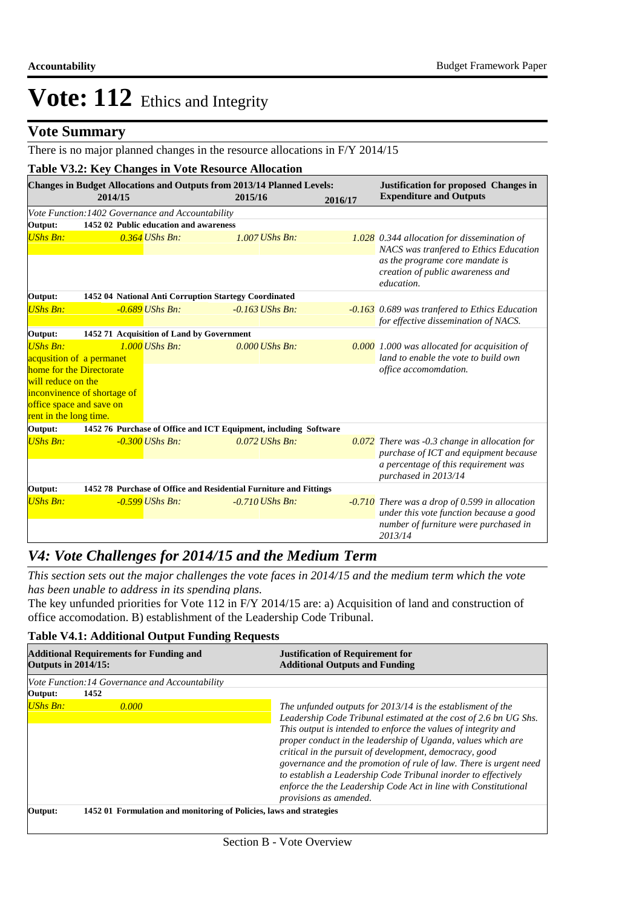## **Vote Summary**

There is no major planned changes in the resource allocations in F/Y 2014/15

|                        |                                                   | Table V3.2: Key Changes in Vote Resource Allocation<br>Changes in Budget Allocations and Outputs from 2013/14 Planned Levels: |         | <b>Justification for proposed Changes in</b>                                                |
|------------------------|---------------------------------------------------|-------------------------------------------------------------------------------------------------------------------------------|---------|---------------------------------------------------------------------------------------------|
|                        | 2014/15                                           | 2015/16                                                                                                                       | 2016/17 | <b>Expenditure and Outputs</b>                                                              |
|                        | Vote Function: 1402 Governance and Accountability |                                                                                                                               |         |                                                                                             |
| Output:                | 1452 02 Public education and awareness            |                                                                                                                               |         |                                                                                             |
| <b>UShs Bn:</b>        | $0.364$ UShs Bn:                                  | $1.007$ UShs Bn:                                                                                                              |         | 1.028 0.344 allocation for dissemination of<br>NACS was tranfered to Ethics Education       |
|                        |                                                   |                                                                                                                               |         | as the programe core mandate is<br>creation of public awareness and<br>education.           |
| Output:                |                                                   | 1452 04 National Anti Corruption Startegy Coordinated                                                                         |         |                                                                                             |
| <b>UShs Bn:</b>        | $-0.689$ UShs Bn:                                 | $-0.163$ UShs Bn:                                                                                                             |         | -0.163 0.689 was tranfered to Ethics Education<br>for effective dissemination of NACS.      |
| Output:                | 1452 71 Acquisition of Land by Government         |                                                                                                                               |         |                                                                                             |
| <b>UShs Bn:</b>        | $1.000$ UShs Bn:                                  | $0.000$ UShs Bn:                                                                                                              |         | 0.000 1.000 was allocated for acquisition of                                                |
|                        | acqusition of a permanet                          |                                                                                                                               |         | land to enable the vote to build own                                                        |
|                        | home for the Directorate                          |                                                                                                                               |         | office accomomdation.                                                                       |
| will reduce on the     |                                                   |                                                                                                                               |         |                                                                                             |
|                        | inconvinence of shortage of                       |                                                                                                                               |         |                                                                                             |
| rent in the long time. | office space and save on                          |                                                                                                                               |         |                                                                                             |
| Output:                |                                                   | 1452 76 Purchase of Office and ICT Equipment, including Software                                                              |         |                                                                                             |
| <b>UShs Bn:</b>        | $-0.300$ UShs Bn:                                 | $0.072$ UShs Bn:                                                                                                              |         | $0.072$ There was -0.3 change in allocation for                                             |
|                        |                                                   |                                                                                                                               |         | purchase of ICT and equipment because                                                       |
|                        |                                                   |                                                                                                                               |         | a percentage of this requirement was<br>purchased in 2013/14                                |
| Output:                |                                                   | 1452 78 Purchase of Office and Residential Furniture and Fittings                                                             |         |                                                                                             |
| <b>UShs Bn:</b>        | $-0.599$ UShs Bn:                                 | $-0.710$ UShs Bn:                                                                                                             |         | $-0.710$ There was a drop of 0.599 in allocation<br>under this vote function because a good |
|                        |                                                   |                                                                                                                               |         | number of furniture were purchased in<br>2013/14                                            |

## *V4: Vote Challenges for 2014/15 and the Medium Term*

*This section sets out the major challenges the vote faces in 2014/15 and the medium term which the vote has been unable to address in its spending plans.*

The key unfunded priorities for Vote 112 in F/Y 2014/15 are: a) Acquisition of land and construction of office accomodation. B) establishment of the Leadership Code Tribunal.

| <b>Additional Requirements for Funding and</b><br><b>Outputs in 2014/15:</b> |                                                                     | <b>Justification of Requirement for</b><br><b>Additional Outputs and Funding</b>                                                                                                                                                                                                                                                                                                                                                                                                                                                                                 |  |
|------------------------------------------------------------------------------|---------------------------------------------------------------------|------------------------------------------------------------------------------------------------------------------------------------------------------------------------------------------------------------------------------------------------------------------------------------------------------------------------------------------------------------------------------------------------------------------------------------------------------------------------------------------------------------------------------------------------------------------|--|
| Vote Function: 14 Governance and Accountability                              |                                                                     |                                                                                                                                                                                                                                                                                                                                                                                                                                                                                                                                                                  |  |
| 1452<br>Output:                                                              |                                                                     |                                                                                                                                                                                                                                                                                                                                                                                                                                                                                                                                                                  |  |
| $UShs Bn:$<br>0.000                                                          |                                                                     | The unfunded outputs for 2013/14 is the establisment of the<br>Leadership Code Tribunal estimated at the cost of 2.6 bn UG Shs.<br>This output is intended to enforce the values of integrity and<br>proper conduct in the leadership of Uganda, values which are<br>critical in the pursuit of development, democracy, good<br>governance and the promotion of rule of law. There is urgent need<br>to establish a Leadership Code Tribunal inorder to effectively<br>enforce the the Leadership Code Act in line with Constitutional<br>provisions as amended. |  |
| Output:                                                                      | 1452 01 Formulation and monitoring of Policies, laws and strategies |                                                                                                                                                                                                                                                                                                                                                                                                                                                                                                                                                                  |  |